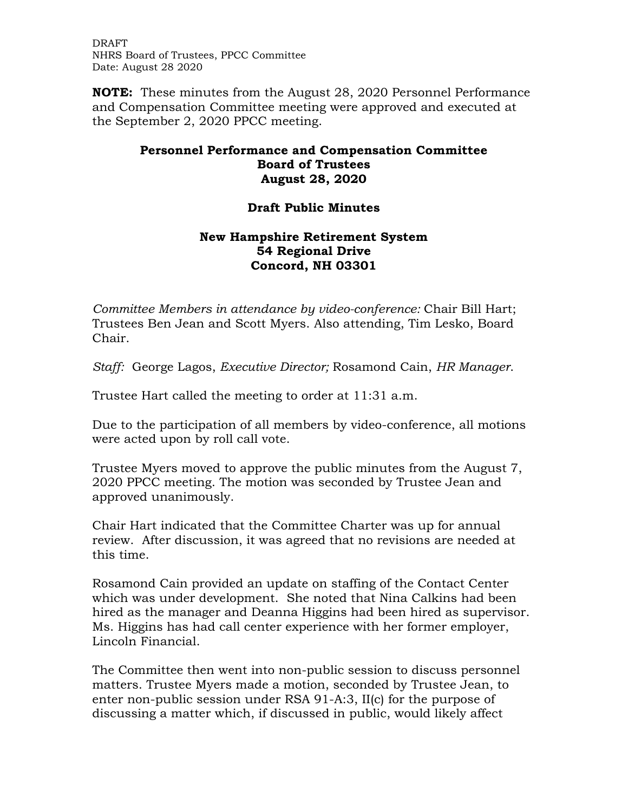DRAFT NHRS Board of Trustees, PPCC Committee Date: August 28 2020

**NOTE:** These minutes from the August 28, 2020 Personnel Performance and Compensation Committee meeting were approved and executed at the September 2, 2020 PPCC meeting.

## **Personnel Performance and Compensation Committee Board of Trustees August 28, 2020**

## **Draft Public Minutes**

## **New Hampshire Retirement System 54 Regional Drive Concord, NH 03301**

*Committee Members in attendance by video-conference:* Chair Bill Hart; Trustees Ben Jean and Scott Myers. Also attending, Tim Lesko, Board Chair.

*Staff:* George Lagos, *Executive Director;* Rosamond Cain, *HR Manager*.

Trustee Hart called the meeting to order at 11:31 a.m.

Due to the participation of all members by video-conference, all motions were acted upon by roll call vote.

Trustee Myers moved to approve the public minutes from the August 7, 2020 PPCC meeting. The motion was seconded by Trustee Jean and approved unanimously.

Chair Hart indicated that the Committee Charter was up for annual review. After discussion, it was agreed that no revisions are needed at this time.

Rosamond Cain provided an update on staffing of the Contact Center which was under development. She noted that Nina Calkins had been hired as the manager and Deanna Higgins had been hired as supervisor. Ms. Higgins has had call center experience with her former employer, Lincoln Financial.

The Committee then went into non-public session to discuss personnel matters. Trustee Myers made a motion, seconded by Trustee Jean, to enter non-public session under RSA 91-A:3, II(c) for the purpose of discussing a matter which, if discussed in public, would likely affect